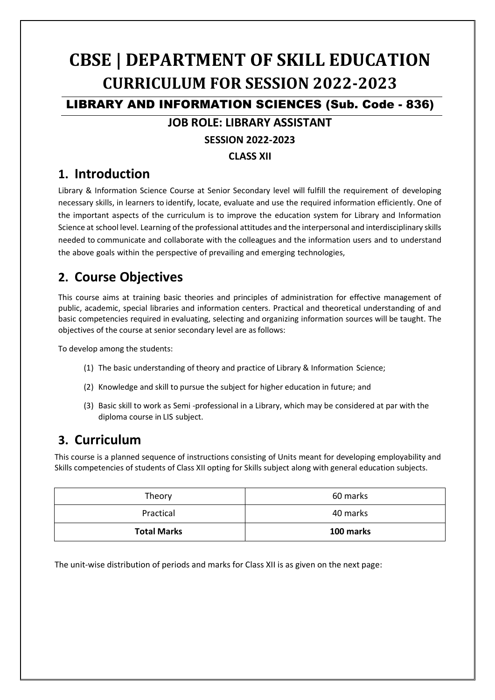# **CBSE | DEPARTMENT OF SKILL EDUCATION CURRICULUM FOR SESSION 2022-2023**

LIBRARY AND INFORMATION SCIENCES (Sub. Code - 836)

### **JOB ROLE: LIBRARY ASSISTANT**

### **SESSION 2022-2023**

**CLASS XII**

### **1. Introduction**

Library & Information Science Course at Senior Secondary level will fulfill the requirement of developing necessary skills, in learners to identify, locate, evaluate and use the required information efficiently. One of the important aspects of the curriculum is to improve the education system for Library and Information Science at school level. Learning of the professional attitudes and the interpersonal and interdisciplinary skills needed to communicate and collaborate with the colleagues and the information users and to understand the above goals within the perspective of prevailing and emerging technologies,

# **2. Course Objectives**

This course aims at training basic theories and principles of administration for effective management of public, academic, special libraries and information centers. Practical and theoretical understanding of and basic competencies required in evaluating, selecting and organizing information sources will be taught. The objectives of the course at senior secondary level are asfollows:

To develop among the students:

- (1) The basic understanding of theory and practice of Library & Information Science;
- (2) Knowledge and skill to pursue the subject for higher education in future; and
- (3) Basic skill to work as Semi -professional in a Library, which may be considered at par with the diploma course in LIS subject.

# **3. Curriculum**

This course is a planned sequence of instructions consisting of Units meant for developing employability and Skills competencies of students of Class XII opting for Skills subject along with general education subjects.

| Theory             | 60 marks  |  |
|--------------------|-----------|--|
| Practical          | 40 marks  |  |
| <b>Total Marks</b> | 100 marks |  |

The unit-wise distribution of periods and marks for Class XII is as given on the next page: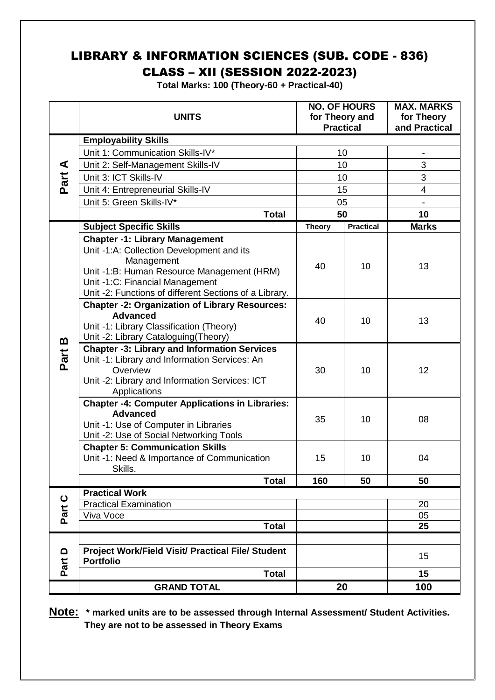# LIBRARY & INFORMATION SCIENCES (SUB. CODE - 836)

CLASS – XII (SESSION 2022-2023)

**Total Marks: 100 (Theory-60 + Practical-40)**

|             | <b>UNITS</b>                                                                                                                                                                                                                                |               | <b>NO. OF HOURS</b><br>for Theory and<br><b>Practical</b> | <b>MAX. MARKS</b><br>for Theory<br>and Practical |  |  |
|-------------|---------------------------------------------------------------------------------------------------------------------------------------------------------------------------------------------------------------------------------------------|---------------|-----------------------------------------------------------|--------------------------------------------------|--|--|
|             | <b>Employability Skills</b>                                                                                                                                                                                                                 |               |                                                           |                                                  |  |  |
| Part A      | Unit 1: Communication Skills-IV*                                                                                                                                                                                                            | 10            |                                                           | $\overline{\phantom{0}}$                         |  |  |
|             | Unit 2: Self-Management Skills-IV                                                                                                                                                                                                           | 10            |                                                           | 3                                                |  |  |
|             | Unit 3: ICT Skills-IV                                                                                                                                                                                                                       | 10            |                                                           | 3                                                |  |  |
|             | Unit 4: Entrepreneurial Skills-IV                                                                                                                                                                                                           | 15            |                                                           | $\overline{\mathbf{4}}$                          |  |  |
|             | Unit 5: Green Skills-IV*                                                                                                                                                                                                                    | 05            |                                                           |                                                  |  |  |
|             | <b>Total</b>                                                                                                                                                                                                                                | 50            |                                                           | 10                                               |  |  |
|             | <b>Subject Specific Skills</b>                                                                                                                                                                                                              | <b>Theory</b> | <b>Practical</b>                                          | <b>Marks</b>                                     |  |  |
| m<br>Part   | <b>Chapter -1: Library Management</b><br>Unit -1:A: Collection Development and its<br>Management<br>Unit -1:B: Human Resource Management (HRM)<br>Unit -1:C: Financial Management<br>Unit -2: Functions of different Sections of a Library. | 40            | 10                                                        | 13                                               |  |  |
|             | <b>Chapter -2: Organization of Library Resources:</b><br><b>Advanced</b><br>Unit -1: Library Classification (Theory)<br>Unit -2: Library Cataloguing(Theory)                                                                                | 40            | 10                                                        | 13                                               |  |  |
|             | <b>Chapter -3: Library and Information Services</b><br>Unit -1: Library and Information Services: An<br>Overview<br>Unit -2: Library and Information Services: ICT<br>Applications                                                          | 30            | 10                                                        | 12                                               |  |  |
|             | <b>Chapter -4: Computer Applications in Libraries:</b><br><b>Advanced</b><br>Unit -1: Use of Computer in Libraries<br>Unit -2: Use of Social Networking Tools                                                                               | 35            | 10                                                        | 08                                               |  |  |
|             | <b>Chapter 5: Communication Skills</b><br>Unit -1: Need & Importance of Communication<br>Skills.                                                                                                                                            | 15            | 10                                                        | 04                                               |  |  |
|             | <b>Total</b>                                                                                                                                                                                                                                | 160           | 50                                                        | 50                                               |  |  |
| $\mathbf C$ | <b>Practical Work</b>                                                                                                                                                                                                                       |               |                                                           |                                                  |  |  |
| Part        | <b>Practical Examination</b>                                                                                                                                                                                                                |               |                                                           | 20                                               |  |  |
|             | Viva Voce<br><b>Total</b>                                                                                                                                                                                                                   |               |                                                           | 05<br>25                                         |  |  |
|             |                                                                                                                                                                                                                                             |               |                                                           |                                                  |  |  |
| ≏<br>Part   | <b>Project Work/Field Visit/ Practical File/ Student</b><br><b>Portfolio</b>                                                                                                                                                                |               |                                                           | 15                                               |  |  |
|             | <b>Total</b>                                                                                                                                                                                                                                |               |                                                           | 15                                               |  |  |
|             | <b>GRAND TOTAL</b>                                                                                                                                                                                                                          |               | 20                                                        | 100                                              |  |  |

**Note: \* marked units are to be assessed through Internal Assessment/ Student Activities. They are not to be assessed in Theory Exams**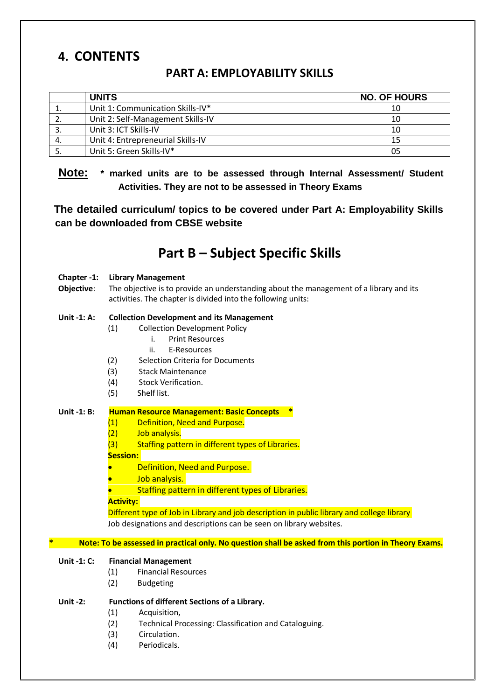### **4. CONTENTS**

### **PART A: EMPLOYABILITY SKILLS**

| <b>UNITS</b>                      | <b>NO. OF HOURS</b> |
|-----------------------------------|---------------------|
| Unit 1: Communication Skills-IV*  | 10                  |
| Unit 2: Self-Management Skills-IV | 10                  |
| Unit 3: ICT Skills-IV             | 10                  |
| Unit 4: Entrepreneurial Skills-IV |                     |
| Unit 5: Green Skills-IV*          |                     |

**Note: \* marked units are to be assessed through Internal Assessment/ Student Activities. They are not to be assessed in Theory Exams** 

**The detailed curriculum/ topics to be covered under Part A: Employability Skills can be downloaded from CBSE website**

### **Part B – Subject Specific Skills**

#### **Chapter -1: Library Management**

**Objective**: The objective is to provide an understanding about the management of a library and its activities. The chapter is divided into the following units:

#### **Unit -1: A: Collection Development and its Management**

- (1) Collection Development Policy
	- i. Print Resources
	- ii. E-Resources
- (2) Selection Criteria for Documents
- (3) Stack Maintenance
- (4) Stock Verification.
- (5) Shelf list.

#### **Unit -1: B: Human Resource Management: Basic Concepts \***

- (1) Definition, Need and Purpose.
- (2) Job analysis.
- (3) Staffing pattern in different types of Libraries.

#### **Session:**

- Definition, Need and Purpose.
- Job analysis.
- Staffing pattern in different types of Libraries.

**Activity:**

Different type of Job in Library and job description in public library and college library Job designations and descriptions can be seen on library websites.

#### **\* Note: To be assessed in practical only. No question shall be asked from this portion in Theory Exams.**

#### **Unit -1: C: Financial Management**

- (1) Financial Resources
- (2) Budgeting

#### **Unit -2: Functions of different Sections of a Library.**

- (1) Acquisition,
- (2) Technical Processing: Classification and Cataloguing.
- (3) Circulation.
- (4) Periodicals.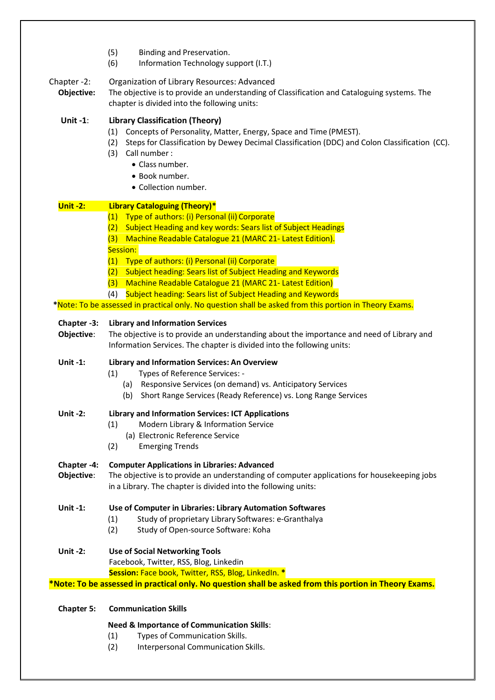|                           | (5)<br>Binding and Preservation.<br>(6)<br>Information Technology support (I.T.)                                                                                                                                                                                                                            |  |  |  |  |
|---------------------------|-------------------------------------------------------------------------------------------------------------------------------------------------------------------------------------------------------------------------------------------------------------------------------------------------------------|--|--|--|--|
| Chapter -2:<br>Objective: | Organization of Library Resources: Advanced<br>The objective is to provide an understanding of Classification and Cataloguing systems. The<br>chapter is divided into the following units:                                                                                                                  |  |  |  |  |
| <b>Unit-1:</b>            | <b>Library Classification (Theory)</b><br>Concepts of Personality, Matter, Energy, Space and Time (PMEST).<br>(1)<br>Steps for Classification by Dewey Decimal Classification (DDC) and Colon Classification (CC).<br>(2)<br>(3) Call number :<br>• Class number.<br>· Book number.<br>• Collection number. |  |  |  |  |
| <b>Unit -2:</b>           | <b>Library Cataloguing (Theory)*</b>                                                                                                                                                                                                                                                                        |  |  |  |  |
|                           | (1) Type of authors: (i) Personal (ii) Corporate<br>(2) Subject Heading and key words: Sears list of Subject Headings<br>Machine Readable Catalogue 21 (MARC 21- Latest Edition).<br>(3)                                                                                                                    |  |  |  |  |
|                           | Session:<br>Type of authors: (i) Personal (ii) Corporate<br>(1)                                                                                                                                                                                                                                             |  |  |  |  |
|                           | (2) Subject heading: Sears list of Subject Heading and Keywords                                                                                                                                                                                                                                             |  |  |  |  |
|                           | (3) Machine Readable Catalogue 21 (MARC 21- Latest Edition)                                                                                                                                                                                                                                                 |  |  |  |  |
|                           | <b>Subject heading: Sears list of Subject Heading and Keywords</b><br>(4)<br>*Note: To be assessed in practical only. No question shall be asked from this portion in Theory Exams.                                                                                                                         |  |  |  |  |
|                           |                                                                                                                                                                                                                                                                                                             |  |  |  |  |
| Chapter -3:<br>Objective: | <b>Library and Information Services</b><br>The objective is to provide an understanding about the importance and need of Library and<br>Information Services. The chapter is divided into the following units:                                                                                              |  |  |  |  |
| Unit -1:                  | Library and Information Services: An Overview<br>Types of Reference Services: -<br>(1)<br>(a) Responsive Services (on demand) vs. Anticipatory Services<br>Short Range Services (Ready Reference) vs. Long Range Services<br>(b)                                                                            |  |  |  |  |
| <b>Unit -2:</b>           | <b>Library and Information Services: ICT Applications</b><br>Modern Library & Information Service<br>(1)<br>(a) Electronic Reference Service<br>(2)<br><b>Emerging Trends</b>                                                                                                                               |  |  |  |  |
| Chapter -4:<br>Objective: | <b>Computer Applications in Libraries: Advanced</b><br>The objective is to provide an understanding of computer applications for housekeeping jobs<br>in a Library. The chapter is divided into the following units:                                                                                        |  |  |  |  |
| Unit -1:                  | Use of Computer in Libraries: Library Automation Softwares<br>Study of proprietary Library Softwares: e-Granthalya<br>(1)<br>(2)<br>Study of Open-source Software: Koha                                                                                                                                     |  |  |  |  |
| <b>Unit-2:</b>            | <b>Use of Social Networking Tools</b><br>Facebook, Twitter, RSS, Blog, Linkedin                                                                                                                                                                                                                             |  |  |  |  |
|                           | Session: Face book, Twitter, RSS, Blog, LinkedIn. *<br>*Note: To be assessed in practical only. No question shall be asked from this portion in Theory Exams.                                                                                                                                               |  |  |  |  |
|                           |                                                                                                                                                                                                                                                                                                             |  |  |  |  |
| <b>Chapter 5:</b>         | <b>Communication Skills</b>                                                                                                                                                                                                                                                                                 |  |  |  |  |
|                           | <b>Need &amp; Importance of Communication Skills:</b><br>Types of Communication Skills.<br>(1)<br>Interpersonal Communication Skills.<br>(2)                                                                                                                                                                |  |  |  |  |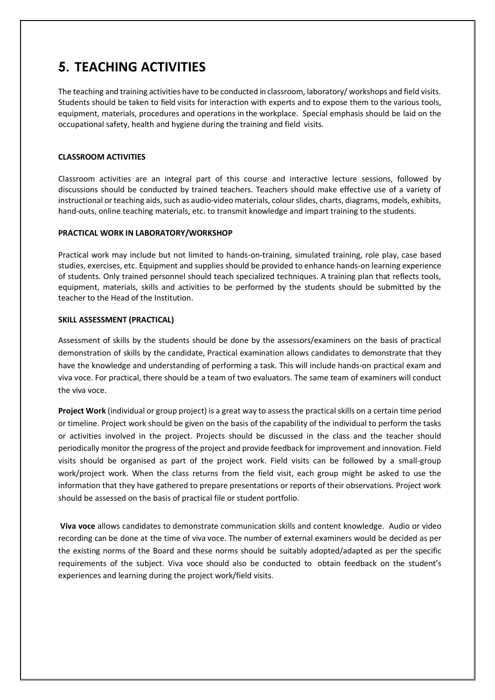### **5. TEACHING ACTIVITIES**

The teaching and training activities have to be conducted in classroom, laboratory/ workshops and field visits. Students should be taken to field visits for interaction with experts and to expose them to the various tools, equipment, materials, procedures and operations in the workplace. Special emphasis should be laid on the occupational safety, health and hygiene during the training and field visits.

#### **CLASSROOM ACTIVITIES**

Classroom activities are an integral part of this course and interactive lecture sessions, followed by discussions should be conducted by trained teachers. Teachers should make effective use of a variety of instructional or teaching aids, such as audio-video materials, colour slides, charts, diagrams, models, exhibits, hand-outs, online teaching materials, etc. to transmit knowledge and impart training to the students.

#### **PRACTICAL WORK IN LABORATORY/WORKSHOP**

Practical work may include but not limited to hands-on-training, simulated training, role play, case based studies, exercises, etc. Equipment and supplies should be provided to enhance hands-on learning experience of students. Only trained personnel should teach specialized techniques. A training plan that reflects tools, equipment, materials, skills and activities to be performed by the students should be submitted by the teacher to the Head of the Institution.

#### **SKILL ASSESSMENT (PRACTICAL)**

Assessment of skills by the students should be done by the assessors/examiners on the basis of practical demonstration of skills by the candidate, Practical examination allows candidates to demonstrate that they have the knowledge and understanding of performing a task. This will include hands-on practical exam and viva voce. For practical, there should be a team of two evaluators. The same team of examiners will conduct the viva voce.

**Project Work** (individual or group project) is a great way to assess the practical skills on a certain time period or timeline. Project work should be given on the basis of the capability of the individual to perform the tasks or activities involved in the project. Projects should be discussed in the class and the teacher should periodically monitor the progress of the project and provide feedback for improvement and innovation. Field visits should be organised as part of the project work. Field visits can be followed by a small-group work/project work. When the class returns from the field visit, each group might be asked to use the information that they have gathered to prepare presentations or reports of their observations. Project work should be assessed on the basis of practical file or student portfolio.

**Viva voce** allows candidates to demonstrate communication skills and content knowledge. Audio or video recording can be done at the time of viva voce. The number of external examiners would be decided as per the existing norms of the Board and these norms should be suitably adopted/adapted as per the specific requirements of the subject. Viva voce should also be conducted to obtain feedback on the student's experiences and learning during the project work/field visits.